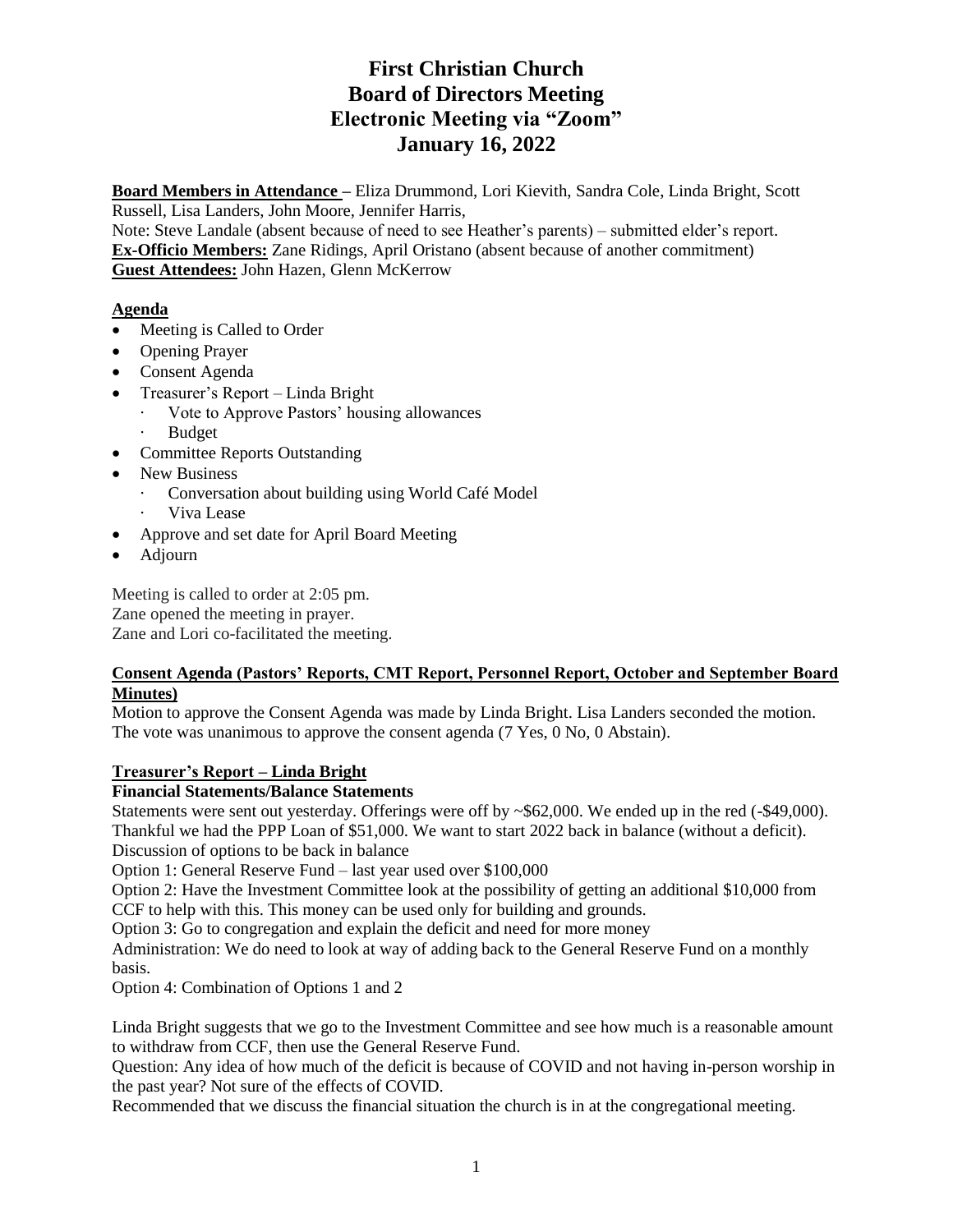# **First Christian Church Board of Directors Meeting Electronic Meeting via "Zoom" January 16, 2022**

**Board Members in Attendance –** Eliza Drummond, Lori Kievith, Sandra Cole, Linda Bright, Scott Russell, Lisa Landers, John Moore, Jennifer Harris,

Note: Steve Landale (absent because of need to see Heather's parents) – submitted elder's report. **Ex-Officio Members:** Zane Ridings, April Oristano (absent because of another commitment) **Guest Attendees:** John Hazen, Glenn McKerrow

# **Agenda**

- Meeting is Called to Order
- Opening Prayer
- Consent Agenda
- Treasurer's Report Linda Bright
	- · Vote to Approve Pastors' housing allowances
	- **Budget**
- Committee Reports Outstanding
- New Business
	- Conversation about building using World Café Model
	- Viva Lease
- Approve and set date for April Board Meeting
- Adjourn

Meeting is called to order at 2:05 pm. Zane opened the meeting in prayer. Zane and Lori co-facilitated the meeting.

## **Consent Agenda (Pastors' Reports, CMT Report, Personnel Report, October and September Board Minutes)**

Motion to approve the Consent Agenda was made by Linda Bright. Lisa Landers seconded the motion. The vote was unanimous to approve the consent agenda (7 Yes, 0 No, 0 Abstain).

# **Treasurer's Report – Linda Bright**

# **Financial Statements/Balance Statements**

Statements were sent out yesterday. Offerings were off by ~\$62,000. We ended up in the red (-\$49,000). Thankful we had the PPP Loan of \$51,000. We want to start 2022 back in balance (without a deficit). Discussion of options to be back in balance

Option 1: General Reserve Fund – last year used over \$100,000

Option 2: Have the Investment Committee look at the possibility of getting an additional \$10,000 from CCF to help with this. This money can be used only for building and grounds.

Option 3: Go to congregation and explain the deficit and need for more money

Administration: We do need to look at way of adding back to the General Reserve Fund on a monthly basis.

Option 4: Combination of Options 1 and 2

Linda Bright suggests that we go to the Investment Committee and see how much is a reasonable amount to withdraw from CCF, then use the General Reserve Fund.

Question: Any idea of how much of the deficit is because of COVID and not having in-person worship in the past year? Not sure of the effects of COVID.

Recommended that we discuss the financial situation the church is in at the congregational meeting.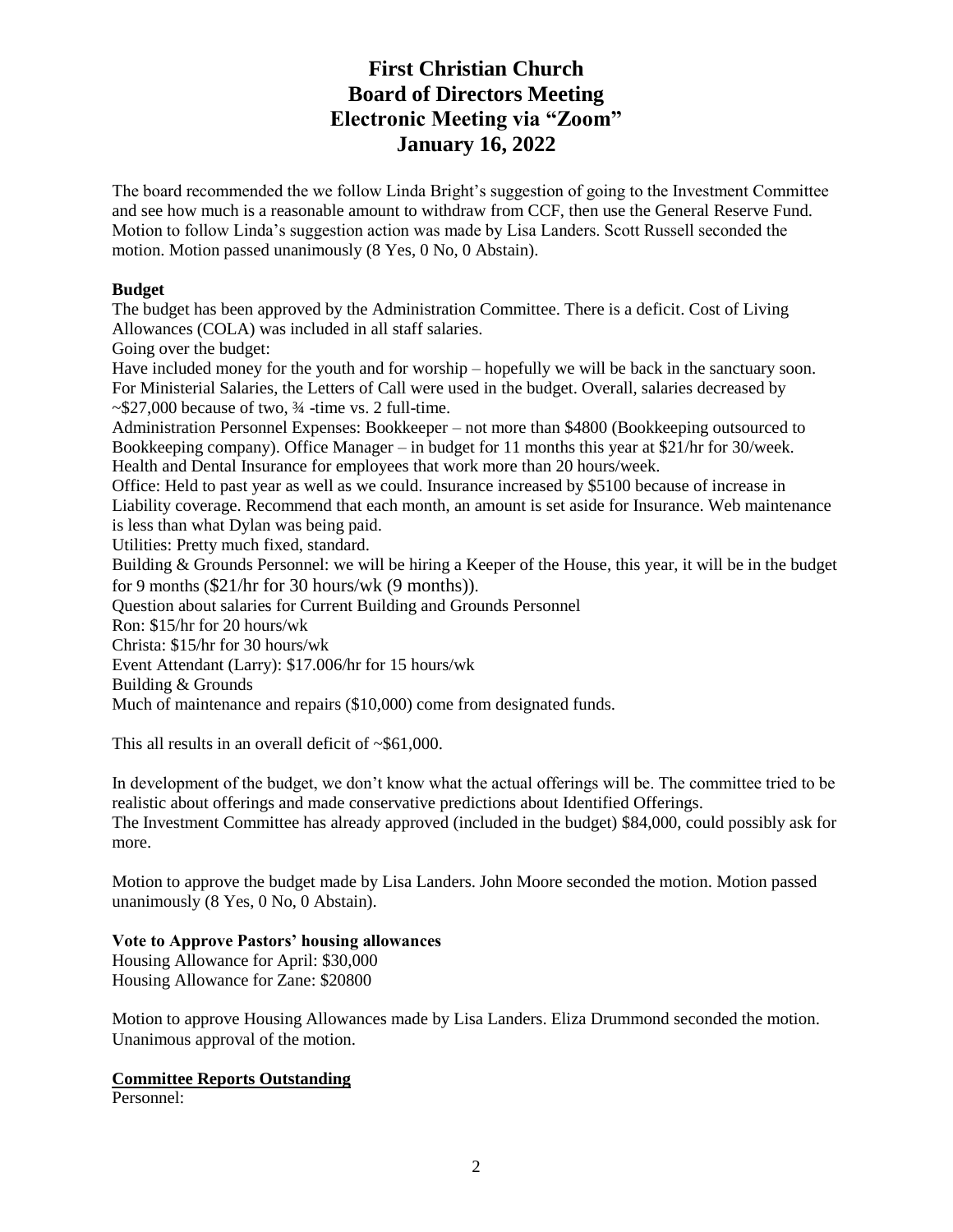# **First Christian Church Board of Directors Meeting Electronic Meeting via "Zoom" January 16, 2022**

The board recommended the we follow Linda Bright's suggestion of going to the Investment Committee and see how much is a reasonable amount to withdraw from CCF, then use the General Reserve Fund. Motion to follow Linda's suggestion action was made by Lisa Landers. Scott Russell seconded the motion. Motion passed unanimously (8 Yes, 0 No, 0 Abstain).

#### **Budget**

The budget has been approved by the Administration Committee. There is a deficit. Cost of Living Allowances (COLA) was included in all staff salaries.

Going over the budget:

Have included money for the youth and for worship – hopefully we will be back in the sanctuary soon. For Ministerial Salaries, the Letters of Call were used in the budget. Overall, salaries decreased by  $\sim$ \$27,000 because of two,  $\frac{3}{4}$ -time vs. 2 full-time.

Administration Personnel Expenses: Bookkeeper – not more than \$4800 (Bookkeeping outsourced to Bookkeeping company). Office Manager – in budget for 11 months this year at  $\frac{1}{21}$ hr for 30/week. Health and Dental Insurance for employees that work more than 20 hours/week.

Office: Held to past year as well as we could. Insurance increased by \$5100 because of increase in Liability coverage. Recommend that each month, an amount is set aside for Insurance. Web maintenance is less than what Dylan was being paid.

Utilities: Pretty much fixed, standard.

Building & Grounds Personnel: we will be hiring a Keeper of the House, this year, it will be in the budget for 9 months (\$21/hr for 30 hours/wk (9 months)).

Question about salaries for Current Building and Grounds Personnel

Ron: \$15/hr for 20 hours/wk

Christa: \$15/hr for 30 hours/wk

Event Attendant (Larry): \$17.006/hr for 15 hours/wk

Building & Grounds

Much of maintenance and repairs (\$10,000) come from designated funds.

This all results in an overall deficit of ~\$61,000.

In development of the budget, we don't know what the actual offerings will be. The committee tried to be realistic about offerings and made conservative predictions about Identified Offerings. The Investment Committee has already approved (included in the budget) \$84,000, could possibly ask for more.

Motion to approve the budget made by Lisa Landers. John Moore seconded the motion. Motion passed unanimously (8 Yes, 0 No, 0 Abstain).

## **Vote to Approve Pastors' housing allowances**

Housing Allowance for April: \$30,000 Housing Allowance for Zane: \$20800

Motion to approve Housing Allowances made by Lisa Landers. Eliza Drummond seconded the motion. Unanimous approval of the motion.

## **Committee Reports Outstanding**

Personnel: